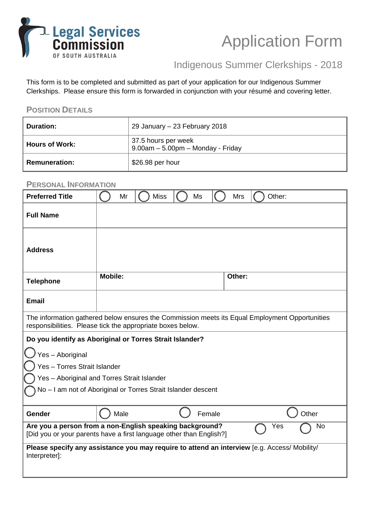



## Indigenous Summer Clerkships - 2018

This form is to be completed and submitted as part of your application for our Indigenous Summer Clerkships. Please ensure this form is forwarded in conjunction with your résumé and covering letter.

## **POSITION DETAILS**

| Duration:             | 29 January – 23 February 2018                                   |  |
|-----------------------|-----------------------------------------------------------------|--|
| <b>Hours of Work:</b> | 37.5 hours per week<br>$9.00$ am $-5.00$ pm $-$ Monday - Friday |  |
| <b>Remuneration:</b>  | \$26.98 per hour                                                |  |

| <b>PERSONAL INFORMATION</b>                                                                                                                                  |                         |                      |  |
|--------------------------------------------------------------------------------------------------------------------------------------------------------------|-------------------------|----------------------|--|
| <b>Preferred Title</b>                                                                                                                                       | <b>Miss</b><br>Mr<br>Ms | <b>Mrs</b><br>Other: |  |
| <b>Full Name</b>                                                                                                                                             |                         |                      |  |
| <b>Address</b>                                                                                                                                               |                         |                      |  |
| <b>Telephone</b>                                                                                                                                             | <b>Mobile:</b>          | Other:               |  |
| <b>Email</b>                                                                                                                                                 |                         |                      |  |
| The information gathered below ensures the Commission meets its Equal Employment Opportunities<br>responsibilities. Please tick the appropriate boxes below. |                         |                      |  |
| Do you identify as Aboriginal or Torres Strait Islander?                                                                                                     |                         |                      |  |
| Yes - Aboriginal                                                                                                                                             |                         |                      |  |
| Yes - Torres Strait Islander                                                                                                                                 |                         |                      |  |
| Yes - Aboriginal and Torres Strait Islander                                                                                                                  |                         |                      |  |
| No - I am not of Aboriginal or Torres Strait Islander descent                                                                                                |                         |                      |  |
| <b>Gender</b>                                                                                                                                                | Female<br>Male          | Other                |  |
| Are you a person from a non-English speaking background?<br>Yes<br>No<br>[Did you or your parents have a first language other than English?]                 |                         |                      |  |
| Please specify any assistance you may require to attend an interview [e.g. Access/ Mobility/<br>Interpreter]:                                                |                         |                      |  |